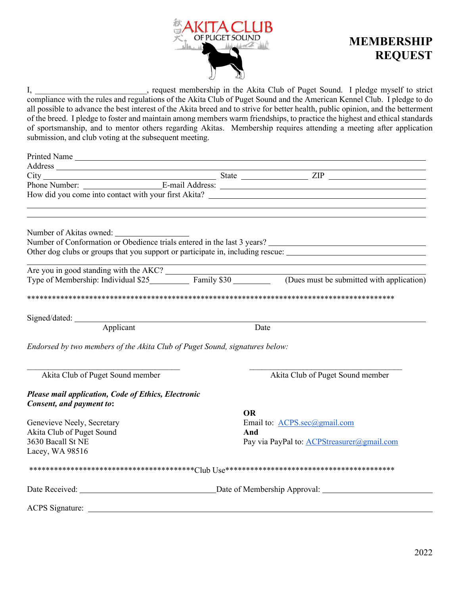

## **MEMBERSHIP REQUEST**

, request membership in the Akita Club of Puget Sound. I pledge myself to strict I, compliance with the rules and regulations of the Akita Club of Puget Sound and the American Kennel Club. I pledge to do all possible to advance the best interest of the Akita breed and to strive for better health, public opinion, and the betterment of the breed. I pledge to foster and maintain among members warm friendships, to practice the highest and ethical standards of sportsmanship, and to mentor others regarding Akitas. Membership requires attending a meeting after application submission, and club voting at the subsequent meeting.

| Address                                                                                                              |           |                                                                                                                                     |  |
|----------------------------------------------------------------------------------------------------------------------|-----------|-------------------------------------------------------------------------------------------------------------------------------------|--|
|                                                                                                                      |           |                                                                                                                                     |  |
|                                                                                                                      |           |                                                                                                                                     |  |
|                                                                                                                      |           |                                                                                                                                     |  |
| <u> 1989 - Johann Barn, mars ann an t-Amhair Aonaich an t-Aonaich an t-Aonaich ann an t-Aonaich ann an t-Aonaich</u> |           |                                                                                                                                     |  |
|                                                                                                                      |           |                                                                                                                                     |  |
| Number of Akitas owned:                                                                                              |           |                                                                                                                                     |  |
|                                                                                                                      |           |                                                                                                                                     |  |
|                                                                                                                      |           | Other dog clubs or groups that you support or participate in, including rescue:                                                     |  |
|                                                                                                                      |           |                                                                                                                                     |  |
|                                                                                                                      |           | Are you in good standing with the AKC?<br>Type of Membership: Individual \$25 Family \$30 (Dues must be submitted with application) |  |
|                                                                                                                      |           |                                                                                                                                     |  |
|                                                                                                                      |           |                                                                                                                                     |  |
|                                                                                                                      |           |                                                                                                                                     |  |
|                                                                                                                      |           |                                                                                                                                     |  |
| Signed/dated: <u>Applicant</u> Dat                                                                                   |           | Date                                                                                                                                |  |
|                                                                                                                      |           |                                                                                                                                     |  |
| Endorsed by two members of the Akita Club of Puget Sound, signatures below:                                          |           |                                                                                                                                     |  |
|                                                                                                                      |           |                                                                                                                                     |  |
|                                                                                                                      |           |                                                                                                                                     |  |
| Akita Club of Puget Sound member                                                                                     |           | Akita Club of Puget Sound member                                                                                                    |  |
| Please mail application, Code of Ethics, Electronic                                                                  |           |                                                                                                                                     |  |
| Consent, and payment to:                                                                                             |           |                                                                                                                                     |  |
|                                                                                                                      | <b>OR</b> |                                                                                                                                     |  |
| Genevieve Neely, Secretary                                                                                           |           | Email to: ACPS.sec@gmail.com                                                                                                        |  |
| Akita Club of Puget Sound                                                                                            | And       |                                                                                                                                     |  |
| 3630 Bacall St NE                                                                                                    |           | Pay via PayPal to: ACPStreasurer@gmail.com                                                                                          |  |
| Lacey, WA 98516                                                                                                      |           |                                                                                                                                     |  |
|                                                                                                                      |           |                                                                                                                                     |  |
|                                                                                                                      |           |                                                                                                                                     |  |
|                                                                                                                      |           |                                                                                                                                     |  |
|                                                                                                                      |           |                                                                                                                                     |  |
| ACPS Signature:                                                                                                      |           |                                                                                                                                     |  |
|                                                                                                                      |           |                                                                                                                                     |  |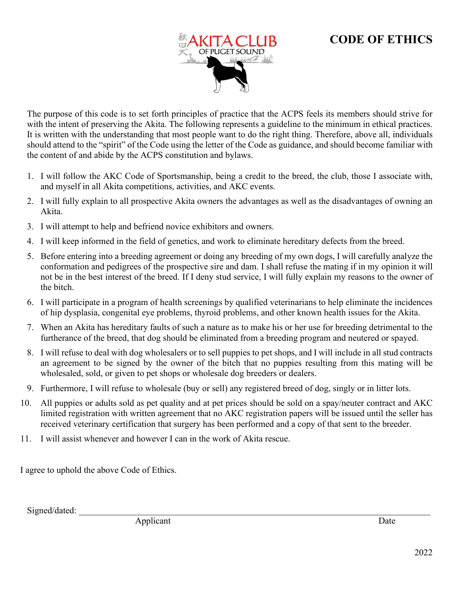## **CODE OF ETHICS**



The purpose of this code is to set forth principles of practice that the ACPS feels its members should strive for with the intent of preserving the Akita. The following represents a guideline to the minimum in ethical practices. It is written with the understanding that most people want to do the right thing. Therefore, above all, individuals should attend to the "spirit" of the Code using the letter of the Code as guidance, and should become familiar with the content of and abide by the ACPS constitution and bylaws.

- 1. I will follow the AKC Code of Sportsmanship, being a credit to the breed, the club, those I associate with, and myself in all Akita competitions, activities, and AKC events.
- 2. I will fully explain to all prospective Akita owners the advantages as well as the disadvantages of owning an Akita.
- 3. I will attempt to help and befriend novice exhibitors and owners.
- 4. I will keep informed in the field of genetics, and work to eliminate hereditary defects from the breed.
- 5. Before entering into a breeding agreement or doing any breeding of my own dogs, I will carefully analyze the conformation and pedigrees of the prospective sire and dam. I shall refuse the mating if in my opinion it will not be in the best interest of the breed. If I deny stud service, I will fully explain my reasons to the owner of the bitch.
- 6. I will participate in a program of health screenings by qualified veterinarians to help eliminate the incidences of hip dysplasia, congenital eye problems, thyroid problems, and other known health issues for the Akita.
- 7. When an Akita has hereditary faults of such a nature as to make his or her use for breeding detrimental to the furtherance of the breed, that dog should be eliminated from a breeding program and neutered or spayed.
- 8. I will refuse to deal with dog wholesalers or to sell puppies to pet shops, and I will include in all stud contracts an agreement to be signed by the owner of the bitch that no puppies resulting from this mating will be wholesaled, sold, or given to pet shops or wholesale dog breeders or dealers.
- 9. Furthermore, I will refuse to wholesale (buy or sell) any registered breed of dog, singly or in litter lots.
- 10. All puppies or adults sold as pet quality and at pet prices should be sold on a spay/neuter contract and AKC limited registration with written agreement that no AKC registration papers will be issued until the seller has received veterinary certification that surgery has been performed and a copy of that sent to the breeder.
- 11. I will assist whenever and however I can in the work of Akita rescue.

I agree to uphold the above Code of Ethics.

Signed/dated:

Applicant Date